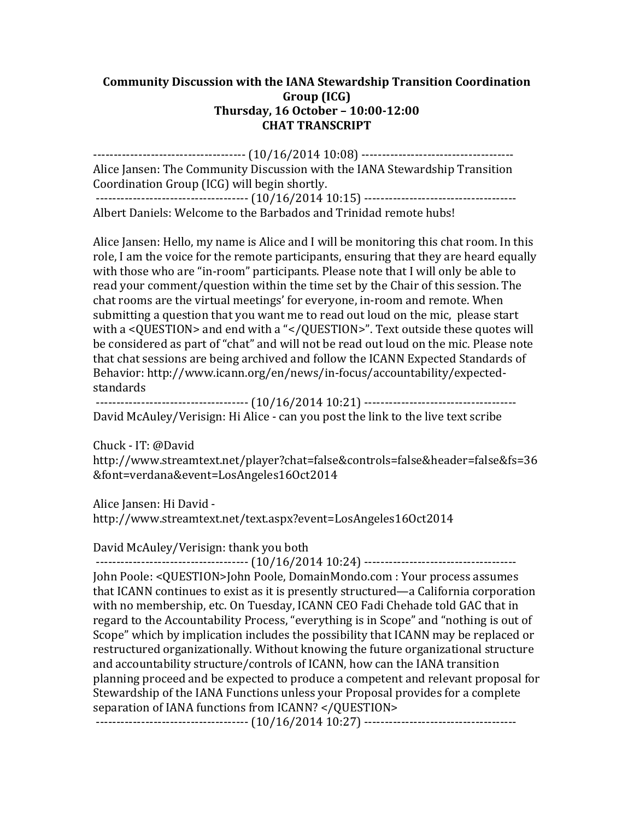## **Community Discussion with the IANA Stewardship Transition Coordination Group (ICG) Thursday, 16 October – 10:00-12:00 CHAT TRANSCRIPT**

------------------------------------- (10/16/2014 10:08) ------------------------------------- Alice Jansen: The Community Discussion with the IANA Stewardship Transition Coordination Group (ICG) will begin shortly. ------------------------------------- (10/16/2014 10:15) -------------------------------------

Albert Daniels: Welcome to the Barbados and Trinidad remote hubs!

Alice Jansen: Hello, my name is Alice and I will be monitoring this chat room. In this role, I am the voice for the remote participants, ensuring that they are heard equally with those who are "in-room" participants. Please note that I will only be able to read your comment/question within the time set by the Chair of this session. The chat rooms are the virtual meetings' for everyone, in-room and remote. When submitting a question that you want me to read out loud on the mic, please start with a <QUESTION> and end with a "</QUESTION>". Text outside these quotes will be considered as part of "chat" and will not be read out loud on the mic. Please note that chat sessions are being archived and follow the ICANN Expected Standards of Behavior: http://www.icann.org/en/news/in-focus/accountability/expectedstandards

------------------------------------- (10/16/2014 10:21) ------------------------------------- David McAuley/Verisign: Hi Alice - can you post the link to the live text scribe

Chuck - IT: @David http://www.streamtext.net/player?chat=false&controls=false&header=false&fs=36 &font=verdana&event=LosAngeles16Oct2014

Alice Jansen: Hi David http://www.streamtext.net/text.aspx?event=LosAngeles16Oct2014

David McAuley/Verisign: thank you both

------------------------------------- (10/16/2014 10:24) ------------------------------------- John Poole: <QUESTION>John Poole, DomainMondo.com : Your process assumes that ICANN continues to exist as it is presently structured—a California corporation with no membership, etc. On Tuesday, ICANN CEO Fadi Chehade told GAC that in regard to the Accountability Process, "everything is in Scope" and "nothing is out of Scope" which by implication includes the possibility that ICANN may be replaced or restructured organizationally. Without knowing the future organizational structure and accountability structure/controls of ICANN, how can the IANA transition planning proceed and be expected to produce a competent and relevant proposal for Stewardship of the IANA Functions unless your Proposal provides for a complete separation of IANA functions from ICANN? </QUESTION>

------------------------------------- (10/16/2014 10:27) -------------------------------------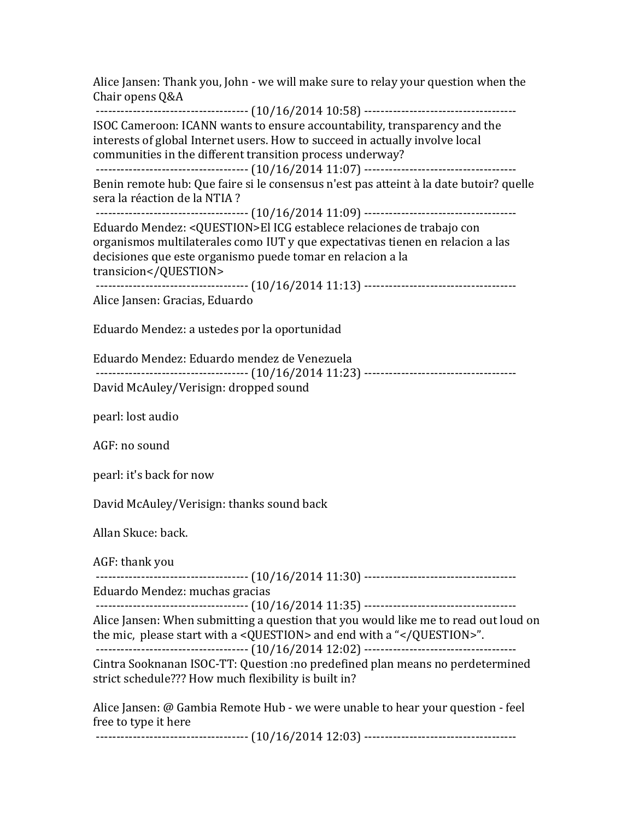Chair opens Q&A ------------------------------------- (10/16/2014 10:58) ------------------------------------- ISOC Cameroon: ICANN wants to ensure accountability, transparency and the interests of global Internet users. How to succeed in actually involve local communities in the different transition process underway? ------------------------------------- (10/16/2014 11:07) ------------------------------------- Benin remote hub: Que faire si le consensus n'est pas atteint à la date butoir? quelle sera la réaction de la NTIA? ------------------------------------- (10/16/2014 11:09) ------------------------------------- Eduardo Mendez: <QUESTION>El ICG establece relaciones de trabajo con organismos multilaterales como IUT y que expectativas tienen en relacion a las decisiones que este organismo puede tomar en relacion a la transicion</QUESTION> ------------------------------------- (10/16/2014 11:13) ------------------------------------- Alice Jansen: Gracias, Eduardo Eduardo Mendez: a ustedes por la oportunidad Eduardo Mendez: Eduardo mendez de Venezuela ------------------------------------- (10/16/2014 11:23) ------------------------------------- David McAuley/Verisign: dropped sound pearl: lost audio AGF: no sound pearl: it's back for now David McAuley/Verisign: thanks sound back Allan Skuce: back. AGF: thank you ------------------------------------- (10/16/2014 11:30) ------------------------------------- Eduardo Mendez: muchas gracias ------------------------------------- (10/16/2014 11:35) ------------------------------------- Alice Jansen: When submitting a question that you would like me to read out loud on the mic, please start with a <QUESTION> and end with a "</QUESTION>". ------------------------------------- (10/16/2014 12:02) ------------------------------------- Cintra Sooknanan ISOC-TT: Question :no predefined plan means no perdetermined strict schedule??? How much flexibility is built in? Alice Jansen: @ Gambia Remote Hub - we were unable to hear your question - feel free to type it here ------------------------------------- (10/16/2014 12:03) -------------------------------------

Alice Jansen: Thank you, John - we will make sure to relay your question when the